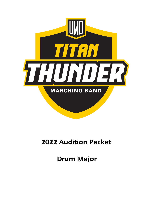

# **2022 Audition Packet**

**Drum Major**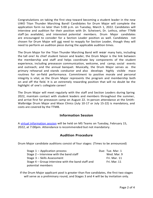Congratulations on taking the first step toward becoming a student leader in the new UWO Titan Thunder Marching Band! Candidates for Drum Major will complete the application form no later than 5:00 p.m. on Tuesday, March 1, 2022. Candidates will interview and audition for their position with Dr. Scheivert, Dr. Lethco, other TTMB staff (as available), and interested potential members. Drum Major candidates are encouraged to consider for a Section Leader position as well. Candidates not chosen for Drum Major will not need to reapply for Section Leader, though they will need to perform an audition piece during the applicable audition times.

The Drum Major for the Titan Thunder Marching Band will wear many hats, including the tall one! As chief student liaison and leader, the Drum Major is the link between the membership and staff and helps coordinate key components of the student experience, including preseason communication, welcome, and camp; social events and outreach; and the annual banquet. Musically, the Drum Major serves as the primary rehearsal and stands conductor and also develops highly visible mace routines for on-field performance. Commitment to positive morale and personal integrity is vital, as the Drum Major represents the program and membership both on and off the field. It is an extremely rewarding position that will no doubt be the highlight of one's collegiate career!

The Drum Major will meet regularly with the staff and Section Leaders during Spring 2022, maintain contact with student leaders and members throughout the summer, and arrive first for preseason camp on August 22. In-person attendance at the Smith-Walbridge Drum Major and Mace Clinics (July 10-17 or July 15-22) is mandatory, and costs are covered by the TTMB.

# **Information Session**

A virtual [information](https://wisconsin-edu.zoom.us/j/92568469544?pwd=b0ZTWHhXOXcyemNaUVd5OXRmYzB5Zz09) session will be held on MS Teams on Tuesday, February 15, 2022, at 7:00pm. Attendance is recommended but not mandatory.

# **Audition Procedure**

Drum Major candidate auditions consist of four stages: (Times to be announced)

| Stage 1 – Application process                     | Due: Tue. Mar. 1 |
|---------------------------------------------------|------------------|
| Stage 2 – Interview with the band staff           | Wed. Mar. 9      |
| Stage 3 – Skills Assessment                       | Fri. Mar. 11     |
| Stage 4 – Group interview with the band staff and | Fri. Mar. 11     |
| potential members                                 |                  |

If the Drum Major applicant pool is greater than five candidates, the first two stages will serve as a preliminary round, and Stages 3 and 4 will be by invitation only.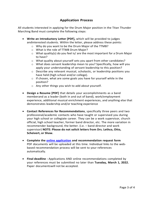# **Application Process**

All students interested in applying for the Drum Major position in the Titan Thunder Marching Band must complete the following steps:

- **Write an Introductory Letter [PDF],** which will be provided to judges andinterested students. Within the letter, please address these points:
	- o Why do you want to be the Drum Major of the TTMB?
	- o What is the role of TTMB Drum Major?
	- o What quality(s) do you feel is/ are the most important for a Drum Major to have?
	- $\circ$  What quality about yourself sets you apart from other candidates?
	- o What does servant leadership mean to you? Specifically, how will you apply your understanding of servant leadership to this position?
	- o Describe any relevant musical, scholastic, or leadership positions you have held (high school and/or college).
	- o If chosen, what are some goals you have for yourself while in the position?
	- o Any other things you wish to add about yourself.
- **Design a Resume [PDF]** that details your accomplishments as a band memberand as a leader (both in and out of band), work/employment experience, additional musical enrichment experiences, and anything else that demonstrates leadership and/or teaching experience
- **Contact References for Recommendations**, specifically three peers and two professional/academic contacts who have taught or supervised you during your high school or collegiate career. They can be a work supervisor, church official, high school teacher, former band director, etc. The more variation in recommender background, the better. (i.e. – band director and work supervisor) **NOTE: Please do not solicit letters from Drs. Lethco, Otto, Scheivert, or Shaw.**
- **Complete the online [application](https://oshkosh.co1.qualtrics.com/jfe/form/SV_71lXvtdL5Hj175Y) and recommendation request form** PDF documents will be uploaded at this time. Individual links to the webbased recommendation process will be sent to your references automatically.
- **Final deadline -** Applications AND online recommendations completed by your references must be submitted no later than **Tuesday, March 1, 2022.** Paper documentswill not be accepted.